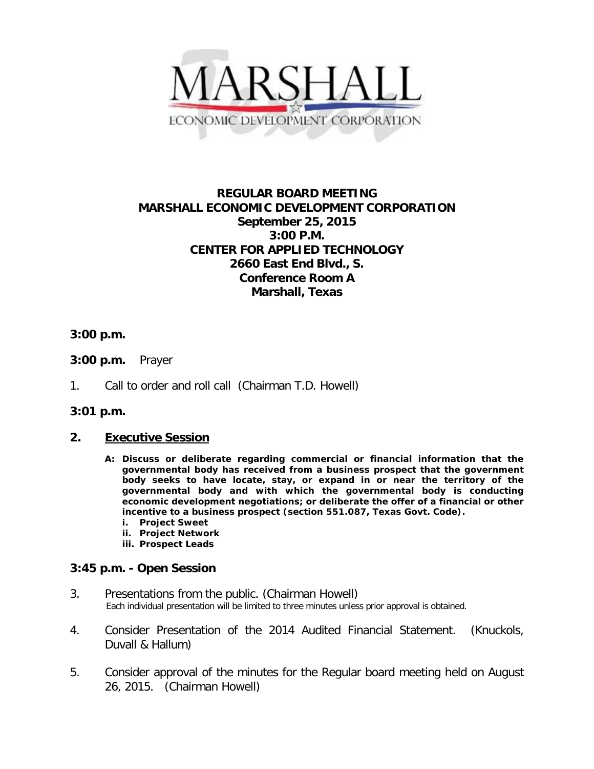

# **REGULAR BOARD MEETING MARSHALL ECONOMIC DEVELOPMENT CORPORATION September 25, 2015 3:00 P.M. CENTER FOR APPLIED TECHNOLOGY 2660 East End Blvd., S. Conference Room A Marshall, Texas**

### **3:00 p.m.**

- **3:00 p.m.** Prayer
- 1. Call to order and roll call (Chairman T.D. Howell)

#### **3:01 p.m.**

#### **2. Executive Session**

- **A: Discuss or deliberate regarding commercial or financial information that the governmental body has received from a business prospect that the government body seeks to have locate, stay, or expand in or near the territory of the governmental body and with which the governmental body is conducting economic development negotiations; or deliberate the offer of a financial or other incentive to a business prospect (section 551.087, Texas Govt. Code).**
	- **i. Project Sweet**
	- **ii. Project Network**
	- **iii. Prospect Leads**

## **3:45 p.m. - Open Session**

- 3. Presentations from the public. (Chairman Howell)<br>Each individual presentation will be limited to three minutes unless prior approval is obtained.
- 4. Consider Presentation of the 2014 Audited Financial Statement. (Knuckols, Duvall & Hallum)
- 5. Consider approval of the minutes for the Regular board meeting held on August 26, 2015. (Chairman Howell)